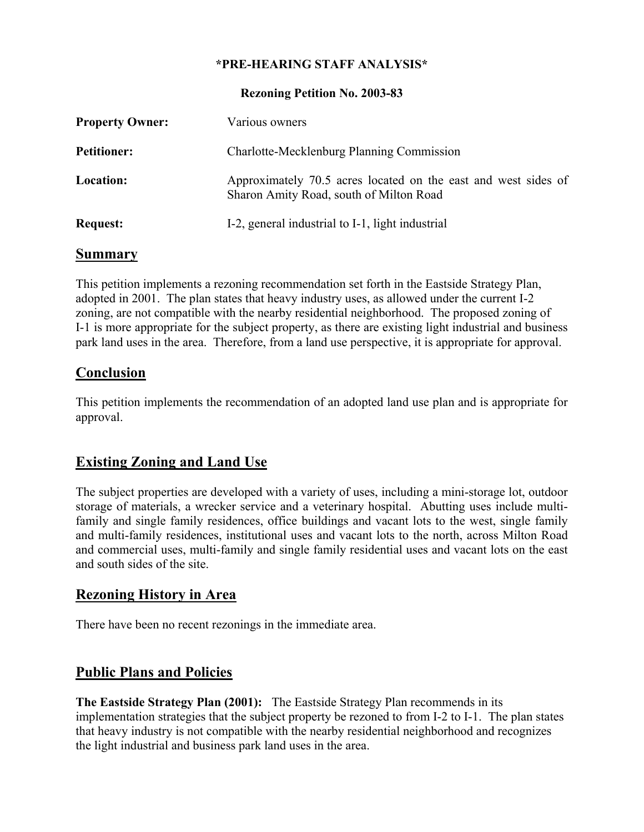#### **\*PRE-HEARING STAFF ANALYSIS\***

#### **Rezoning Petition No. 2003-83**

| <b>Property Owner:</b> | Various owners                                                                                            |
|------------------------|-----------------------------------------------------------------------------------------------------------|
| <b>Petitioner:</b>     | Charlotte-Mecklenburg Planning Commission                                                                 |
| <b>Location:</b>       | Approximately 70.5 acres located on the east and west sides of<br>Sharon Amity Road, south of Milton Road |
| <b>Request:</b>        | I-2, general industrial to I-1, light industrial                                                          |

#### **Summary**

This petition implements a rezoning recommendation set forth in the Eastside Strategy Plan, adopted in 2001. The plan states that heavy industry uses, as allowed under the current I-2 zoning, are not compatible with the nearby residential neighborhood. The proposed zoning of I-1 is more appropriate for the subject property, as there are existing light industrial and business park land uses in the area. Therefore, from a land use perspective, it is appropriate for approval.

### **Conclusion**

This petition implements the recommendation of an adopted land use plan and is appropriate for approval.

## **Existing Zoning and Land Use**

The subject properties are developed with a variety of uses, including a mini-storage lot, outdoor storage of materials, a wrecker service and a veterinary hospital. Abutting uses include multifamily and single family residences, office buildings and vacant lots to the west, single family and multi-family residences, institutional uses and vacant lots to the north, across Milton Road and commercial uses, multi-family and single family residential uses and vacant lots on the east and south sides of the site.

### **Rezoning History in Area**

There have been no recent rezonings in the immediate area.

# **Public Plans and Policies**

**The Eastside Strategy Plan (2001):** The Eastside Strategy Plan recommends in its implementation strategies that the subject property be rezoned to from I-2 to I-1. The plan states that heavy industry is not compatible with the nearby residential neighborhood and recognizes the light industrial and business park land uses in the area.